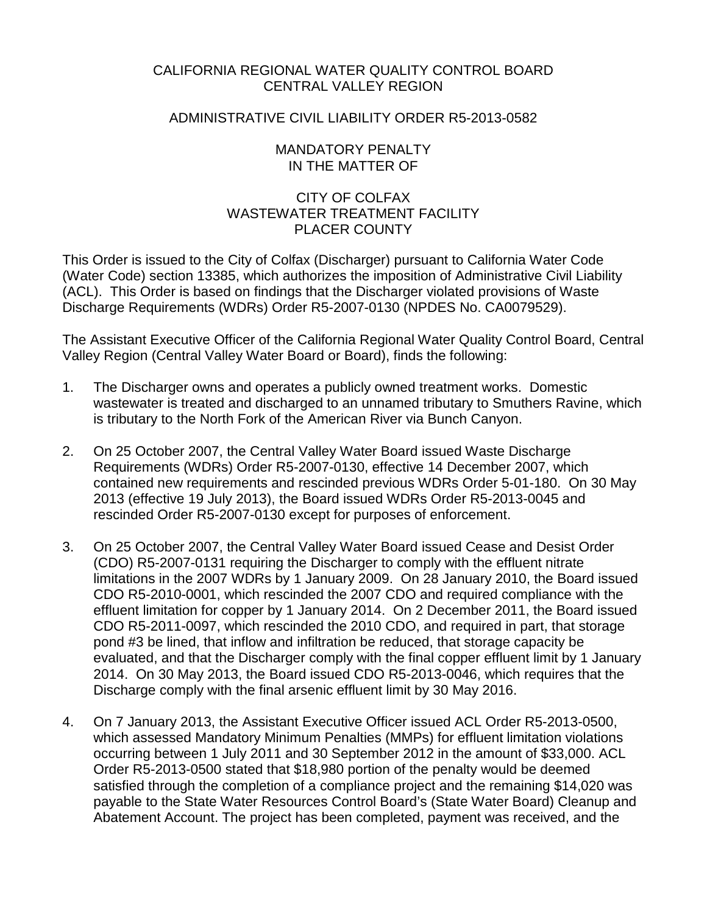### CALIFORNIA REGIONAL WATER QUALITY CONTROL BOARD CENTRAL VALLEY REGION

### ADMINISTRATIVE CIVIL LIABILITY ORDER R5-2013-0582

### MANDATORY PENALTY IN THE MATTER OF

## CITY OF COLFAX WASTEWATER TREATMENT FACILITY PLACER COUNTY

This Order is issued to the City of Colfax (Discharger) pursuant to California Water Code (Water Code) section 13385, which authorizes the imposition of Administrative Civil Liability (ACL). This Order is based on findings that the Discharger violated provisions of Waste Discharge Requirements (WDRs) Order R5-2007-0130 (NPDES No. CA0079529).

The Assistant Executive Officer of the California Regional Water Quality Control Board, Central Valley Region (Central Valley Water Board or Board), finds the following:

- 1. The Discharger owns and operates a publicly owned treatment works. Domestic wastewater is treated and discharged to an unnamed tributary to Smuthers Ravine, which is tributary to the North Fork of the American River via Bunch Canyon.
- 2. On 25 October 2007, the Central Valley Water Board issued Waste Discharge Requirements (WDRs) Order R5-2007-0130, effective 14 December 2007, which contained new requirements and rescinded previous WDRs Order 5-01-180. On 30 May 2013 (effective 19 July 2013), the Board issued WDRs Order R5-2013-0045 and rescinded Order R5-2007-0130 except for purposes of enforcement.
- 3. On 25 October 2007, the Central Valley Water Board issued Cease and Desist Order (CDO) R5-2007-0131 requiring the Discharger to comply with the effluent nitrate limitations in the 2007 WDRs by 1 January 2009. On 28 January 2010, the Board issued CDO R5-2010-0001, which rescinded the 2007 CDO and required compliance with the effluent limitation for copper by 1 January 2014. On 2 December 2011, the Board issued CDO R5-2011-0097, which rescinded the 2010 CDO, and required in part, that storage pond #3 be lined, that inflow and infiltration be reduced, that storage capacity be evaluated, and that the Discharger comply with the final copper effluent limit by 1 January 2014. On 30 May 2013, the Board issued CDO R5-2013-0046, which requires that the Discharge comply with the final arsenic effluent limit by 30 May 2016.
- 4. On 7 January 2013, the Assistant Executive Officer issued ACL Order R5-2013-0500, which assessed Mandatory Minimum Penalties (MMPs) for effluent limitation violations occurring between 1 July 2011 and 30 September 2012 in the amount of \$33,000. ACL Order R5-2013-0500 stated that \$18,980 portion of the penalty would be deemed satisfied through the completion of a compliance project and the remaining \$14,020 was payable to the State Water Resources Control Board's (State Water Board) Cleanup and Abatement Account. The project has been completed, payment was received, and the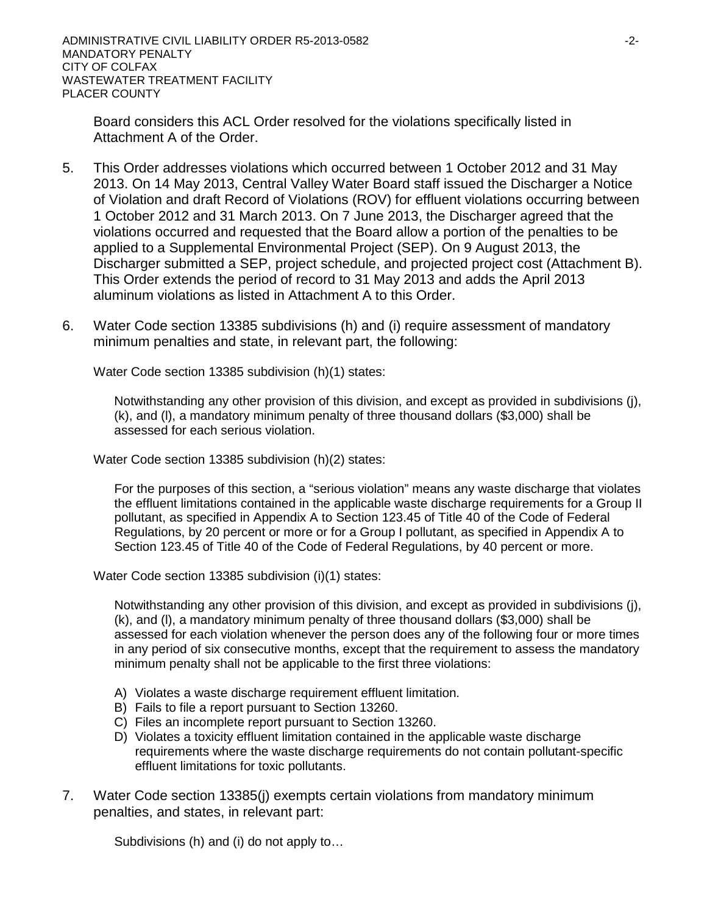Board considers this ACL Order resolved for the violations specifically listed in Attachment A of the Order.

- 5. This Order addresses violations which occurred between 1 October 2012 and 31 May 2013. On 14 May 2013, Central Valley Water Board staff issued the Discharger a Notice of Violation and draft Record of Violations (ROV) for effluent violations occurring between 1 October 2012 and 31 March 2013. On 7 June 2013, the Discharger agreed that the violations occurred and requested that the Board allow a portion of the penalties to be applied to a Supplemental Environmental Project (SEP). On 9 August 2013, the Discharger submitted a SEP, project schedule, and projected project cost (Attachment B). This Order extends the period of record to 31 May 2013 and adds the April 2013 aluminum violations as listed in Attachment A to this Order.
- 6. Water Code section 13385 subdivisions (h) and (i) require assessment of mandatory minimum penalties and state, in relevant part, the following:

Water Code section 13385 subdivision (h)(1) states:

Notwithstanding any other provision of this division, and except as provided in subdivisions (j), (k), and (l), a mandatory minimum penalty of three thousand dollars (\$3,000) shall be assessed for each serious violation.

Water Code section 13385 subdivision (h)(2) states:

For the purposes of this section, a "serious violation" means any waste discharge that violates the effluent limitations contained in the applicable waste discharge requirements for a Group II pollutant, as specified in Appendix A to Section 123.45 of Title 40 of the Code of Federal Regulations, by 20 percent or more or for a Group I pollutant, as specified in Appendix A to Section 123.45 of Title 40 of the Code of Federal Regulations, by 40 percent or more.

Water Code section 13385 subdivision (i)(1) states:

Notwithstanding any other provision of this division, and except as provided in subdivisions (j), (k), and (l), a mandatory minimum penalty of three thousand dollars (\$3,000) shall be assessed for each violation whenever the person does any of the following four or more times in any period of six consecutive months, except that the requirement to assess the mandatory minimum penalty shall not be applicable to the first three violations:

- A) Violates a waste discharge requirement effluent limitation.
- B) Fails to file a report pursuant to Section 13260.
- C) Files an incomplete report pursuant to Section 13260.
- D) Violates a toxicity effluent limitation contained in the applicable waste discharge requirements where the waste discharge requirements do not contain pollutant-specific effluent limitations for toxic pollutants.
- 7. Water Code section 13385(j) exempts certain violations from mandatory minimum penalties, and states, in relevant part:

Subdivisions (h) and (i) do not apply to…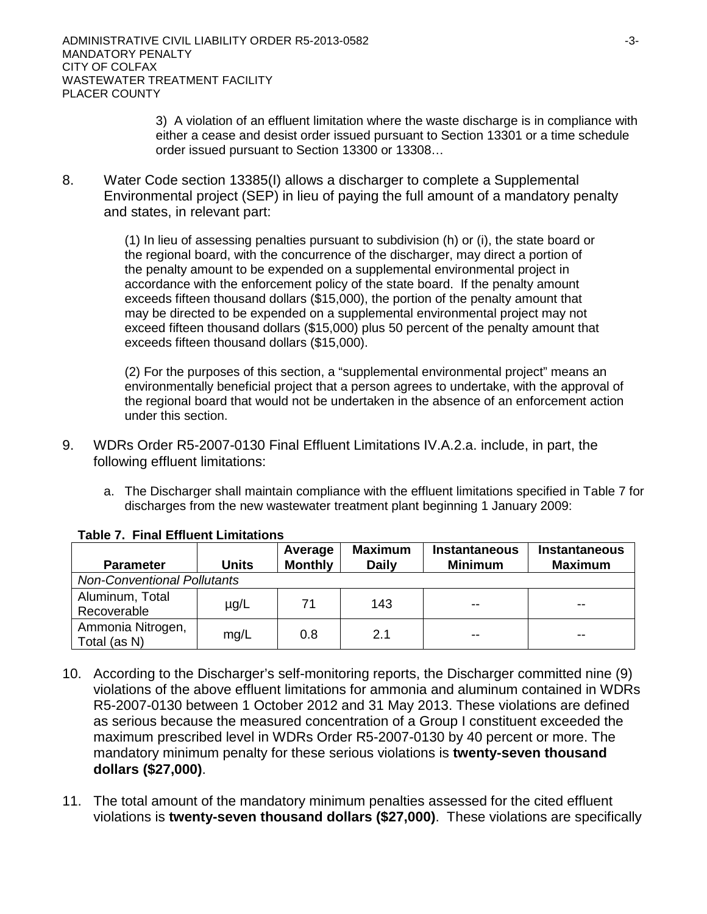3) A violation of an effluent limitation where the waste discharge is in compliance with either a cease and desist order issued pursuant to Section 13301 or a time schedule order issued pursuant to Section 13300 or 13308…

8. Water Code section 13385(I) allows a discharger to complete a Supplemental Environmental project (SEP) in lieu of paying the full amount of a mandatory penalty and states, in relevant part:

> (1) In lieu of assessing penalties pursuant to subdivision (h) or (i), the state board or the regional board, with the concurrence of the discharger, may direct a portion of the penalty amount to be expended on a supplemental environmental project in accordance with the enforcement policy of the state board. If the penalty amount exceeds fifteen thousand dollars (\$15,000), the portion of the penalty amount that may be directed to be expended on a supplemental environmental project may not exceed fifteen thousand dollars (\$15,000) plus 50 percent of the penalty amount that exceeds fifteen thousand dollars (\$15,000).

(2) For the purposes of this section, a "supplemental environmental project" means an environmentally beneficial project that a person agrees to undertake, with the approval of the regional board that would not be undertaken in the absence of an enforcement action under this section.

- 9. WDRs Order R5-2007-0130 Final Effluent Limitations IV.A.2.a. include, in part, the following effluent limitations:
	- a. The Discharger shall maintain compliance with the effluent limitations specified in Table 7 for discharges from the new wastewater treatment plant beginning 1 January 2009:

| <b>Parameter</b>                   | <b>Units</b> | Average<br><b>Monthly</b> | <b>Maximum</b><br><b>Daily</b> | <b>Instantaneous</b><br><b>Minimum</b> | <b>Instantaneous</b><br><b>Maximum</b> |  |  |  |
|------------------------------------|--------------|---------------------------|--------------------------------|----------------------------------------|----------------------------------------|--|--|--|
| <b>Non-Conventional Pollutants</b> |              |                           |                                |                                        |                                        |  |  |  |
| Aluminum, Total<br>Recoverable     | $\mu$ g/L    | 71                        | 143                            | $- -$                                  | $- -$                                  |  |  |  |
| Ammonia Nitrogen,<br>Total (as N)  | mg/L         | 0.8                       | 2.1                            | --                                     | $-$                                    |  |  |  |

### **Table 7. Final Effluent Limitations**

- 10. According to the Discharger's self-monitoring reports, the Discharger committed nine (9) violations of the above effluent limitations for ammonia and aluminum contained in WDRs R5-2007-0130 between 1 October 2012 and 31 May 2013. These violations are defined as serious because the measured concentration of a Group I constituent exceeded the maximum prescribed level in WDRs Order R5-2007-0130 by 40 percent or more. The mandatory minimum penalty for these serious violations is **twenty-seven thousand dollars (\$27,000)**.
- 11. The total amount of the mandatory minimum penalties assessed for the cited effluent violations is **twenty-seven thousand dollars (\$27,000)**.These violations are specifically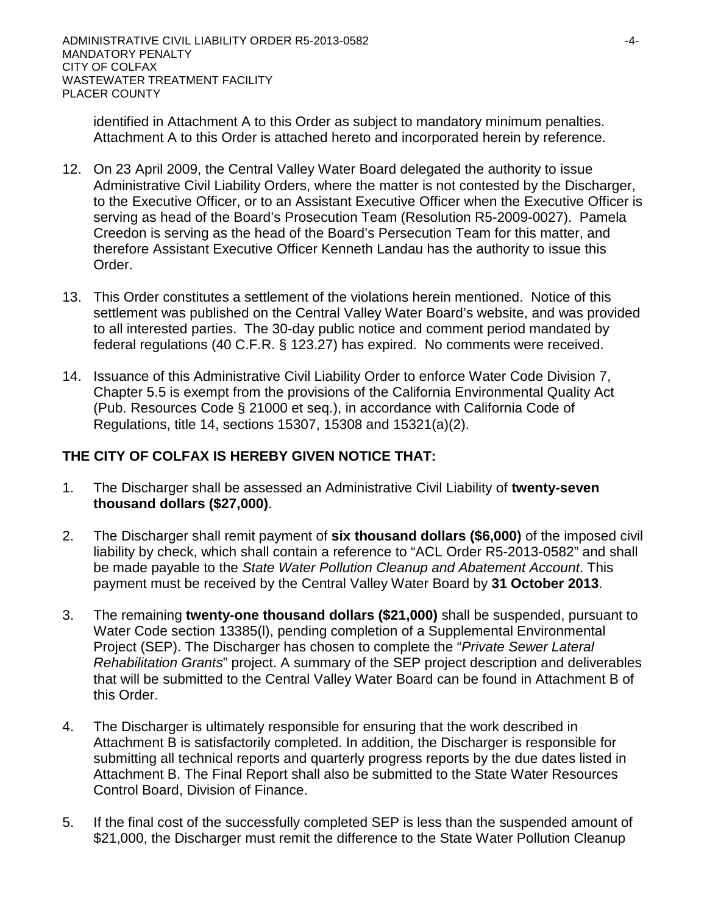identified in Attachment A to this Order as subject to mandatory minimum penalties. Attachment A to this Order is attached hereto and incorporated herein by reference.

- 12. On 23 April 2009, the Central Valley Water Board delegated the authority to issue Administrative Civil Liability Orders, where the matter is not contested by the Discharger, to the Executive Officer, or to an Assistant Executive Officer when the Executive Officer is serving as head of the Board's Prosecution Team (Resolution R5-2009-0027). Pamela Creedon is serving as the head of the Board's Persecution Team for this matter, and therefore Assistant Executive Officer Kenneth Landau has the authority to issue this Order.
- 13. This Order constitutes a settlement of the violations herein mentioned. Notice of this settlement was published on the Central Valley Water Board's website, and was provided to all interested parties. The 30-day public notice and comment period mandated by federal regulations (40 C.F.R. § 123.27) has expired. No comments were received.
- 14. Issuance of this Administrative Civil Liability Order to enforce Water Code Division 7, Chapter 5.5 is exempt from the provisions of the California Environmental Quality Act (Pub. Resources Code § 21000 et seq.), in accordance with California Code of Regulations, title 14, sections 15307, 15308 and 15321(a)(2).

## **THE CITY OF COLFAX IS HEREBY GIVEN NOTICE THAT:**

- 1. The Discharger shall be assessed an Administrative Civil Liability of **twenty-seven thousand dollars (\$27,000)**.
- 2. The Discharger shall remit payment of **six thousand dollars (\$6,000)** of the imposed civil liability by check, which shall contain a reference to "ACL Order R5-2013-0582" and shall be made payable to the *State Water Pollution Cleanup and Abatement Account*. This payment must be received by the Central Valley Water Board by **31 October 2013**.
- 3. The remaining **twenty-one thousand dollars (\$21,000)** shall be suspended, pursuant to Water Code section 13385(l), pending completion of a Supplemental Environmental Project (SEP). The Discharger has chosen to complete the "*Private Sewer Lateral Rehabilitation Grants*" project. A summary of the SEP project description and deliverables that will be submitted to the Central Valley Water Board can be found in Attachment B of this Order.
- 4. The Discharger is ultimately responsible for ensuring that the work described in Attachment B is satisfactorily completed. In addition, the Discharger is responsible for submitting all technical reports and quarterly progress reports by the due dates listed in Attachment B. The Final Report shall also be submitted to the State Water Resources Control Board, Division of Finance.
- 5. If the final cost of the successfully completed SEP is less than the suspended amount of \$21,000, the Discharger must remit the difference to the State Water Pollution Cleanup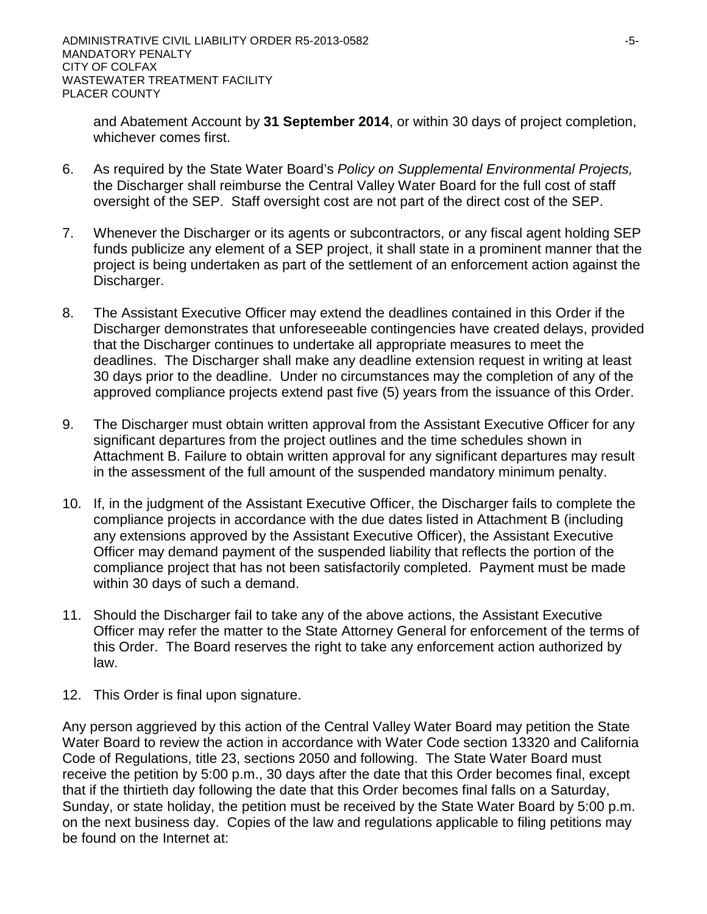and Abatement Account by **31 September 2014**, or within 30 days of project completion, whichever comes first.

- 6. As required by the State Water Board's *Policy on Supplemental Environmental Projects,*  the Discharger shall reimburse the Central Valley Water Board for the full cost of staff oversight of the SEP. Staff oversight cost are not part of the direct cost of the SEP.
- 7. Whenever the Discharger or its agents or subcontractors, or any fiscal agent holding SEP funds publicize any element of a SEP project, it shall state in a prominent manner that the project is being undertaken as part of the settlement of an enforcement action against the Discharger.
- 8. The Assistant Executive Officer may extend the deadlines contained in this Order if the Discharger demonstrates that unforeseeable contingencies have created delays, provided that the Discharger continues to undertake all appropriate measures to meet the deadlines. The Discharger shall make any deadline extension request in writing at least 30 days prior to the deadline. Under no circumstances may the completion of any of the approved compliance projects extend past five (5) years from the issuance of this Order.
- 9. The Discharger must obtain written approval from the Assistant Executive Officer for any significant departures from the project outlines and the time schedules shown in Attachment B. Failure to obtain written approval for any significant departures may result in the assessment of the full amount of the suspended mandatory minimum penalty.
- 10. If, in the judgment of the Assistant Executive Officer, the Discharger fails to complete the compliance projects in accordance with the due dates listed in Attachment B (including any extensions approved by the Assistant Executive Officer), the Assistant Executive Officer may demand payment of the suspended liability that reflects the portion of the compliance project that has not been satisfactorily completed. Payment must be made within 30 days of such a demand.
- 11. Should the Discharger fail to take any of the above actions, the Assistant Executive Officer may refer the matter to the State Attorney General for enforcement of the terms of this Order. The Board reserves the right to take any enforcement action authorized by law.
- 12. This Order is final upon signature.

Any person aggrieved by this action of the Central Valley Water Board may petition the State Water Board to review the action in accordance with Water Code section 13320 and California Code of Regulations, title 23, sections 2050 and following. The State Water Board must receive the petition by 5:00 p.m., 30 days after the date that this Order becomes final, except that if the thirtieth day following the date that this Order becomes final falls on a Saturday, Sunday, or state holiday, the petition must be received by the State Water Board by 5:00 p.m. on the next business day. Copies of the law and regulations applicable to filing petitions may be found on the Internet at: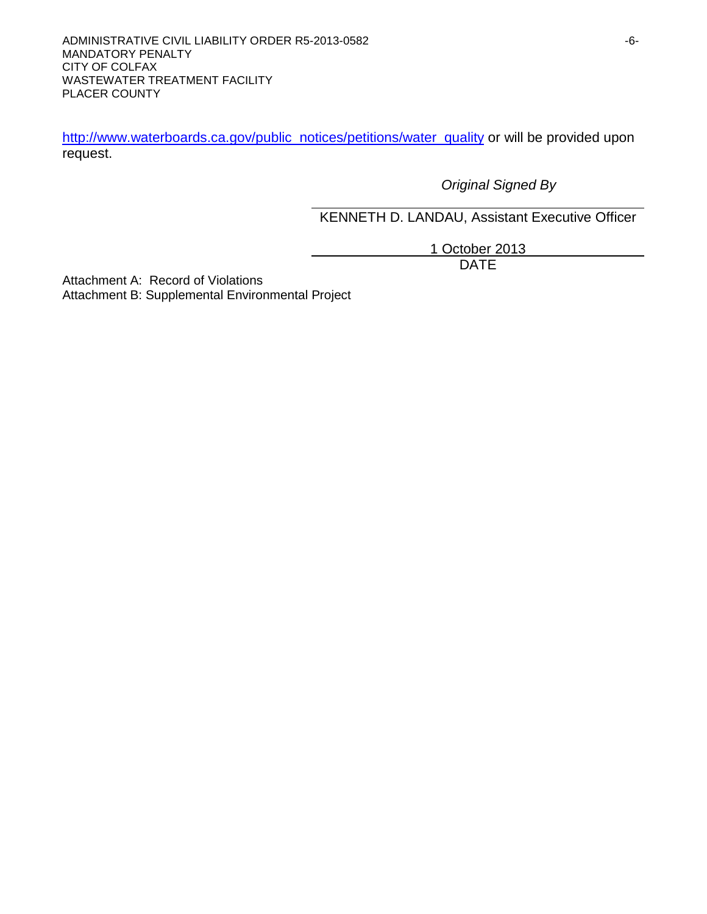[http://www.waterboards.ca.gov/public\\_notices/petitions/water\\_quality](http://www.waterboards.ca.gov/public_notices/petitions/water_quality) or will be provided upon request.

*Original Signed By*

KENNETH D. LANDAU, Assistant Executive Officer

1 October 2013 DATE

Attachment A: Record of Violations Attachment B: Supplemental Environmental Project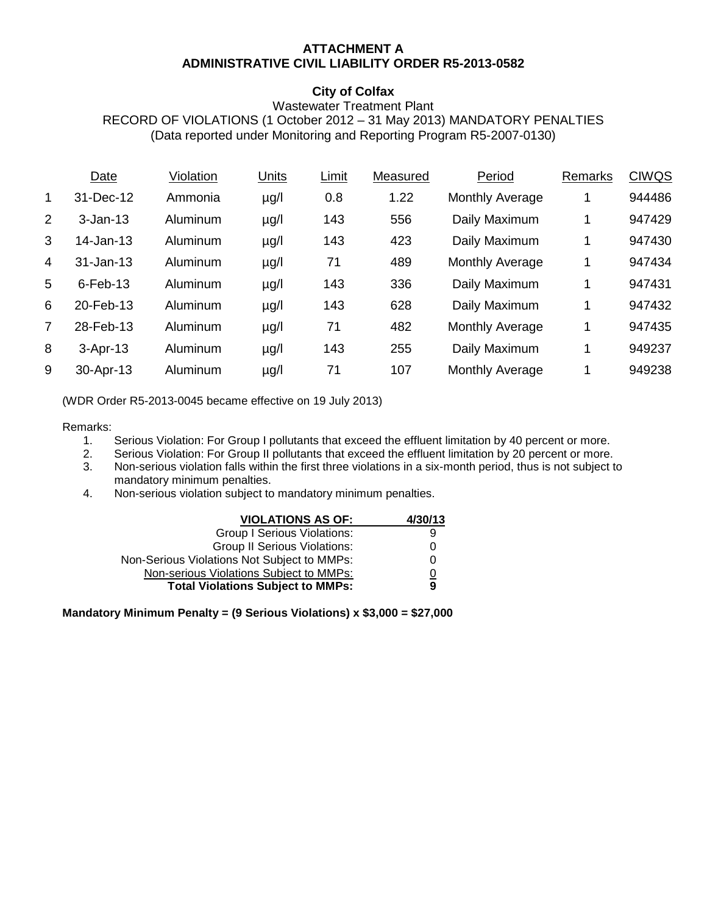### **ATTACHMENT A ADMINISTRATIVE CIVIL LIABILITY ORDER R5-2013-0582**

### **City of Colfax**

#### Wastewater Treatment Plant RECORD OF VIOLATIONS (1 October 2012 – 31 May 2013) MANDATORY PENALTIES (Data reported under Monitoring and Reporting Program R5-2007-0130)

|                | Date         | Violation | Units     | Limit | Measured | Period                 | Remarks | <b>CIWQS</b> |
|----------------|--------------|-----------|-----------|-------|----------|------------------------|---------|--------------|
| 1              | 31-Dec-12    | Ammonia   | $\mu$ g/l | 0.8   | 1.22     | Monthly Average        | 1       | 944486       |
| 2              | $3 - Jan-13$ | Aluminum  | $\mu$ g/l | 143   | 556      | Daily Maximum          | 1       | 947429       |
| 3              | 14-Jan-13    | Aluminum  | $\mu$ g/l | 143   | 423      | Daily Maximum          | 1       | 947430       |
| 4              | 31-Jan-13    | Aluminum  | $\mu$ g/l | 71    | 489      | <b>Monthly Average</b> | 1       | 947434       |
| $\overline{5}$ | $6$ -Feb-13  | Aluminum  | $\mu$ g/l | 143   | 336      | Daily Maximum          | 1       | 947431       |
| 6              | 20-Feb-13    | Aluminum  | $\mu$ g/l | 143   | 628      | Daily Maximum          | 1       | 947432       |
| 7              | 28-Feb-13    | Aluminum  | $\mu$ g/l | 71    | 482      | Monthly Average        | 1       | 947435       |
| 8              | $3-Apr-13$   | Aluminum  | $\mu$ g/l | 143   | 255      | Daily Maximum          | 1       | 949237       |
| 9              | 30-Apr-13    | Aluminum  | µg/l      | 71    | 107      | Monthly Average        | 1       | 949238       |
|                |              |           |           |       |          |                        |         |              |

(WDR Order R5-2013-0045 became effective on 19 July 2013)

# Remarks:<br>1.

- Serious Violation: For Group I pollutants that exceed the effluent limitation by 40 percent or more.
- 2. Serious Violation: For Group II pollutants that exceed the effluent limitation by 20 percent or more.<br>3. Non-serious violation falls within the first three violations in a six-month period, thus is not subject to
- 3. Non-serious violation falls within the first three violations in a six-month period, thus is not subject to mandatory minimum penalties.
- 4. Non-serious violation subject to mandatory minimum penalties.

| <b>VIOLATIONS AS OF:</b>                    | 4/30/13        |
|---------------------------------------------|----------------|
| <b>Group I Serious Violations:</b>          | 9              |
| <b>Group II Serious Violations:</b>         | 0              |
| Non-Serious Violations Not Subject to MMPs: | 0              |
| Non-serious Violations Subject to MMPs:     | $\overline{0}$ |
| <b>Total Violations Subject to MMPs:</b>    | 9              |

**Mandatory Minimum Penalty = (9 Serious Violations) x \$3,000 = \$27,000**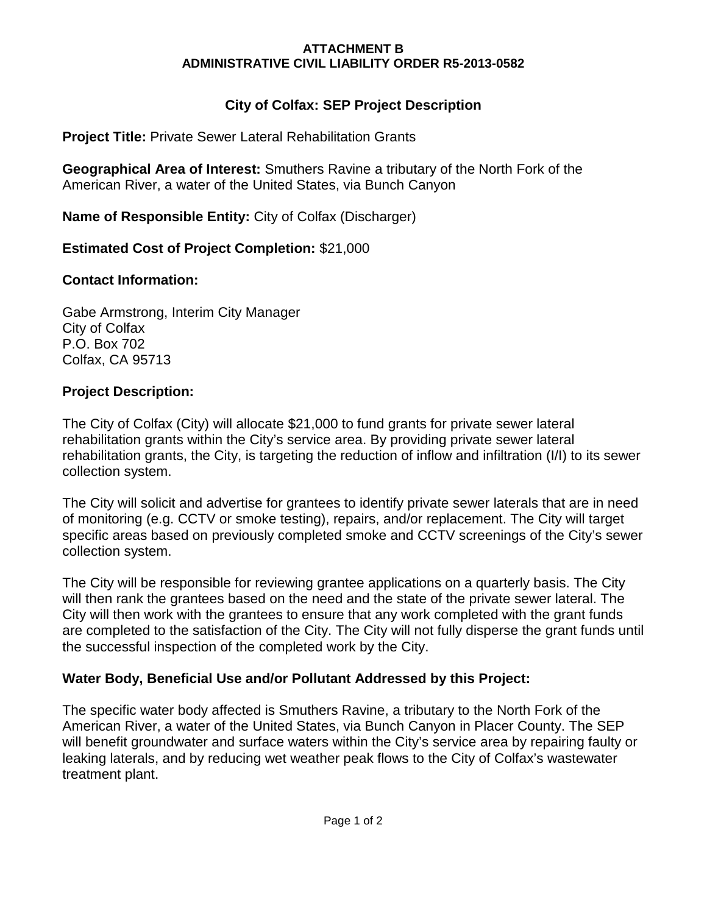## **ATTACHMENT B ADMINISTRATIVE CIVIL LIABILITY ORDER R5-2013-0582**

# **City of Colfax: SEP Project Description**

**Project Title:** Private Sewer Lateral Rehabilitation Grants

**Geographical Area of Interest:** Smuthers Ravine a tributary of the North Fork of the American River, a water of the United States, via Bunch Canyon

**Name of Responsible Entity:** City of Colfax (Discharger)

# **Estimated Cost of Project Completion:** \$21,000

# **Contact Information:**

Gabe Armstrong, Interim City Manager City of Colfax P.O. Box 702 Colfax, CA 95713

# **Project Description:**

The City of Colfax (City) will allocate \$21,000 to fund grants for private sewer lateral rehabilitation grants within the City's service area. By providing private sewer lateral rehabilitation grants, the City, is targeting the reduction of inflow and infiltration (I/I) to its sewer collection system.

The City will solicit and advertise for grantees to identify private sewer laterals that are in need of monitoring (e.g. CCTV or smoke testing), repairs, and/or replacement. The City will target specific areas based on previously completed smoke and CCTV screenings of the City's sewer collection system.

The City will be responsible for reviewing grantee applications on a quarterly basis. The City will then rank the grantees based on the need and the state of the private sewer lateral. The City will then work with the grantees to ensure that any work completed with the grant funds are completed to the satisfaction of the City. The City will not fully disperse the grant funds until the successful inspection of the completed work by the City.

# **Water Body, Beneficial Use and/or Pollutant Addressed by this Project:**

The specific water body affected is Smuthers Ravine, a tributary to the North Fork of the American River, a water of the United States, via Bunch Canyon in Placer County. The SEP will benefit groundwater and surface waters within the City's service area by repairing faulty or leaking laterals, and by reducing wet weather peak flows to the City of Colfax's wastewater treatment plant.